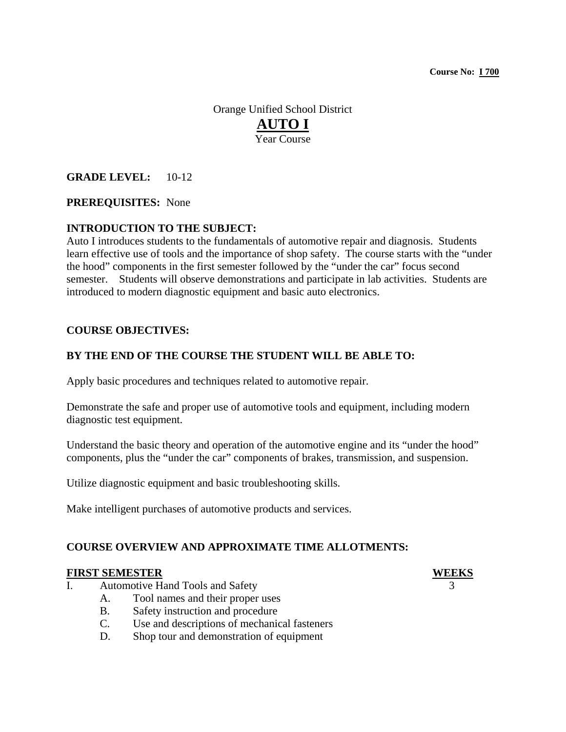Orange Unified School District **AUTO I** Year Course

# **GRADE LEVEL:** 10-12

# **PREREQUISITES:** None

# **INTRODUCTION TO THE SUBJECT:**

Auto I introduces students to the fundamentals of automotive repair and diagnosis. Students learn effective use of tools and the importance of shop safety. The course starts with the "under the hood" components in the first semester followed by the "under the car" focus second semester. Students will observe demonstrations and participate in lab activities. Students are introduced to modern diagnostic equipment and basic auto electronics.

# **COURSE OBJECTIVES:**

### **BY THE END OF THE COURSE THE STUDENT WILL BE ABLE TO:**

Apply basic procedures and techniques related to automotive repair.

Demonstrate the safe and proper use of automotive tools and equipment, including modern diagnostic test equipment.

Understand the basic theory and operation of the automotive engine and its "under the hood" components, plus the "under the car" components of brakes, transmission, and suspension.

Utilize diagnostic equipment and basic troubleshooting skills.

Make intelligent purchases of automotive products and services.

### **COURSE OVERVIEW AND APPROXIMATE TIME ALLOTMENTS:**

#### **FIRST SEMESTER WEEKS**

- I. Automotive Hand Tools and Safety
	- A. Tool names and their proper uses
	- B. Safety instruction and procedure
	- C. Use and descriptions of mechanical fasteners
	- D. Shop tour and demonstration of equipment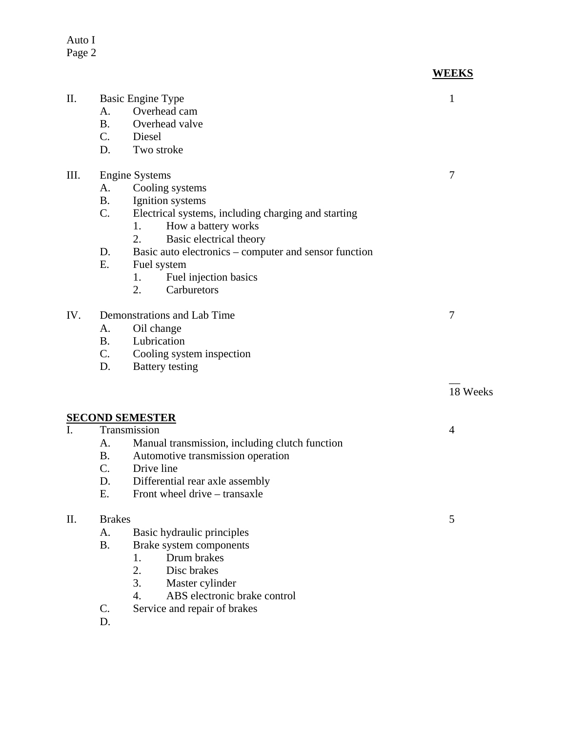Auto I Page 2

| <b>WEEKS</b> |
|--------------|
|              |

| П.   | <b>Basic Engine Type</b>                                    | 1        |
|------|-------------------------------------------------------------|----------|
|      | Overhead cam<br>A.                                          |          |
|      | <b>B.</b><br>Overhead valve                                 |          |
|      |                                                             |          |
|      | Diesel<br>C.                                                |          |
|      | D.<br>Two stroke                                            |          |
| III. | <b>Engine Systems</b>                                       | 7        |
|      | Cooling systems<br>А.                                       |          |
|      | <b>B.</b><br>Ignition systems                               |          |
|      | C.<br>Electrical systems, including charging and starting   |          |
|      | 1.<br>How a battery works                                   |          |
|      | 2.<br>Basic electrical theory                               |          |
|      | Basic auto electronics - computer and sensor function<br>D. |          |
|      | E.<br>Fuel system                                           |          |
|      | Fuel injection basics<br>1.                                 |          |
|      | 2.<br>Carburetors                                           |          |
|      |                                                             |          |
| IV.  | Demonstrations and Lab Time                                 | 7        |
|      | Oil change<br>А.                                            |          |
|      | Lubrication<br><b>B.</b>                                    |          |
|      | C.<br>Cooling system inspection                             |          |
|      | <b>Battery</b> testing<br>D.                                |          |
|      |                                                             | 18 Weeks |
|      |                                                             |          |
|      | <b>SECOND SEMESTER</b>                                      |          |
| I.   | Transmission                                                | 4        |
|      | Manual transmission, including clutch function<br>A.        |          |
|      | <b>B.</b><br>Automotive transmission operation              |          |
|      | C.<br>Drive line                                            |          |
|      | D.<br>Differential rear axle assembly                       |          |
|      | Ε.<br>Front wheel drive – transaxle                         |          |
|      |                                                             |          |
| II.  | <b>Brakes</b>                                               | 5        |
|      | Basic hydraulic principles<br>A.                            |          |
|      | <b>B.</b><br>Brake system components                        |          |
|      | Drum brakes<br>1.                                           |          |
|      | 2.<br>Disc brakes                                           |          |
|      | 3.<br>Master cylinder                                       |          |
|      | ABS electronic brake control<br>$\overline{4}$ .            |          |
|      | C.<br>Service and repair of brakes                          |          |

D.